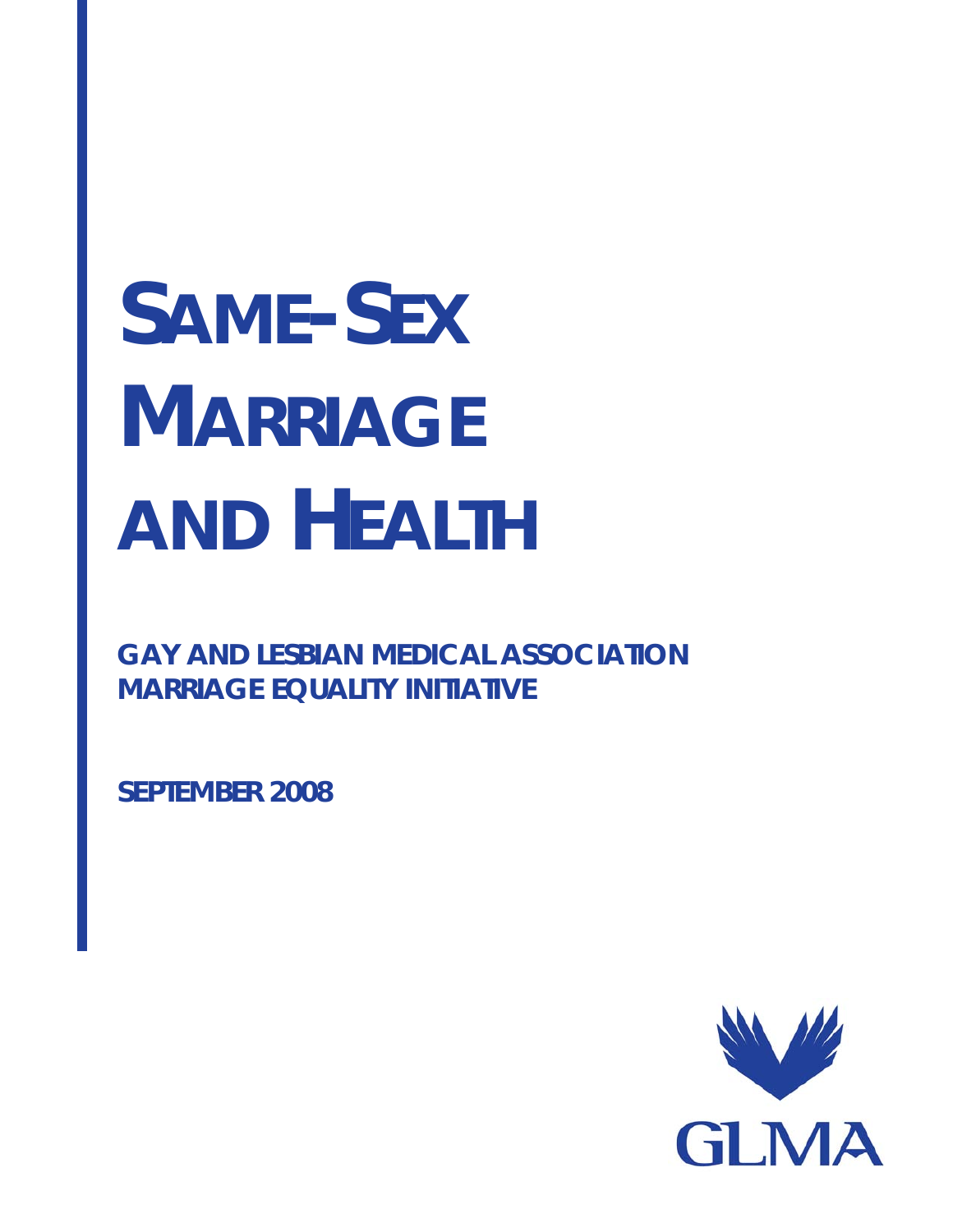# **SAME-SEX MARRIAGE AND HEALTH**

**GAY AND LESBIAN MEDICAL ASSOCIATION MARRIAGE EQUALITY INITIATIVE** 

**SEPTEMBER 2008** 

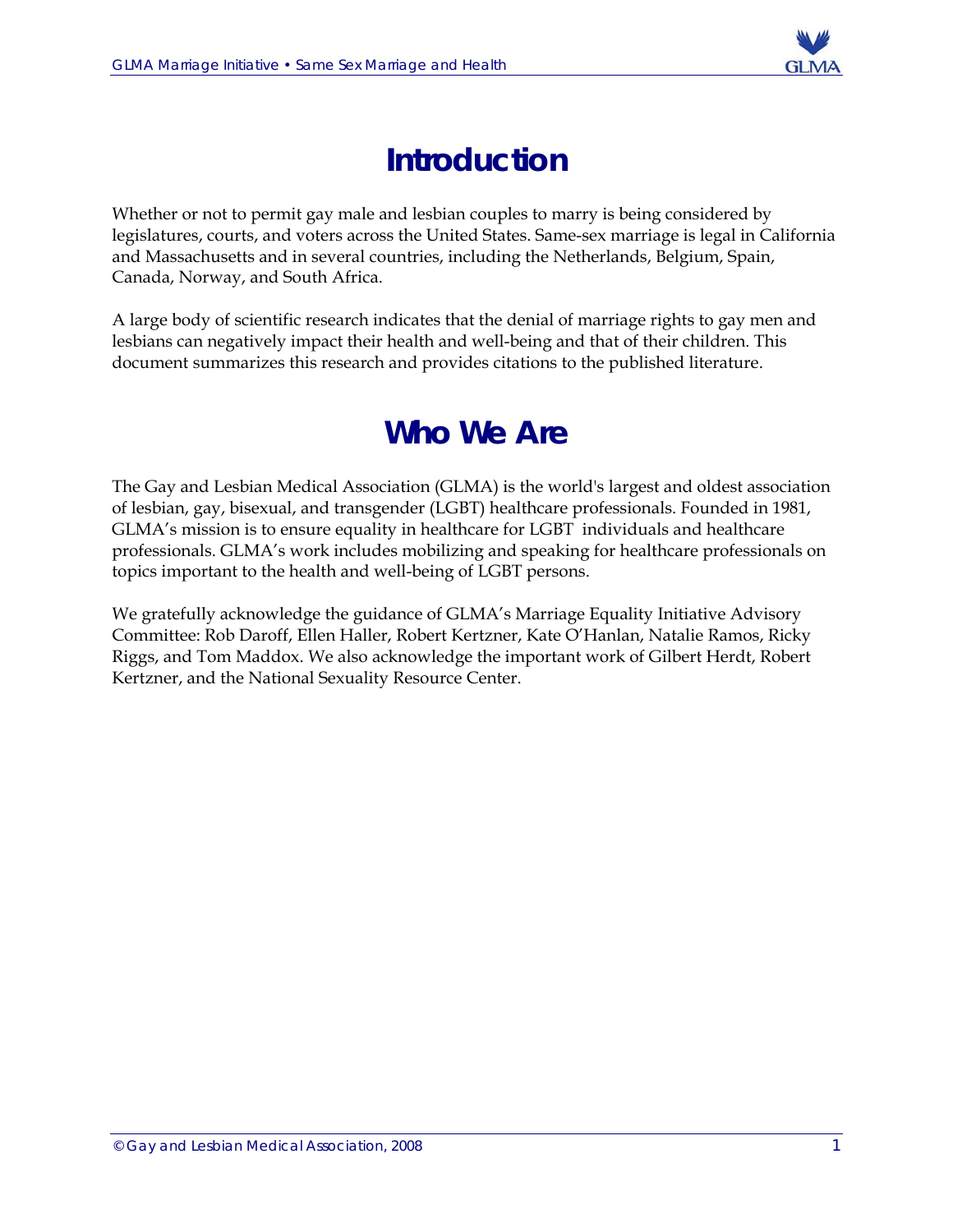

# **Introduction**

Whether or not to permit gay male and lesbian couples to marry is being considered by legislatures, courts, and voters across the United States. Same-sex marriage is legal in California and Massachusetts and in several countries, including the Netherlands, Belgium, Spain, Canada, Norway, and South Africa.

A large body of scientific research indicates that the denial of marriage rights to gay men and lesbians can negatively impact their health and well-being and that of their children. This document summarizes this research and provides citations to the published literature.

# **Who We Are**

The Gay and Lesbian Medical Association (GLMA) is the world's largest and oldest association of lesbian, gay, bisexual, and transgender (LGBT) healthcare professionals. Founded in 1981, GLMA's mission is to ensure equality in healthcare for LGBT individuals and healthcare professionals. GLMA's work includes mobilizing and speaking for healthcare professionals on topics important to the health and well-being of LGBT persons.

We gratefully acknowledge the guidance of GLMA's Marriage Equality Initiative Advisory Committee: Rob Daroff, Ellen Haller, Robert Kertzner, Kate O'Hanlan, Natalie Ramos, Ricky Riggs, and Tom Maddox. We also acknowledge the important work of Gilbert Herdt, Robert Kertzner, and the National Sexuality Resource Center.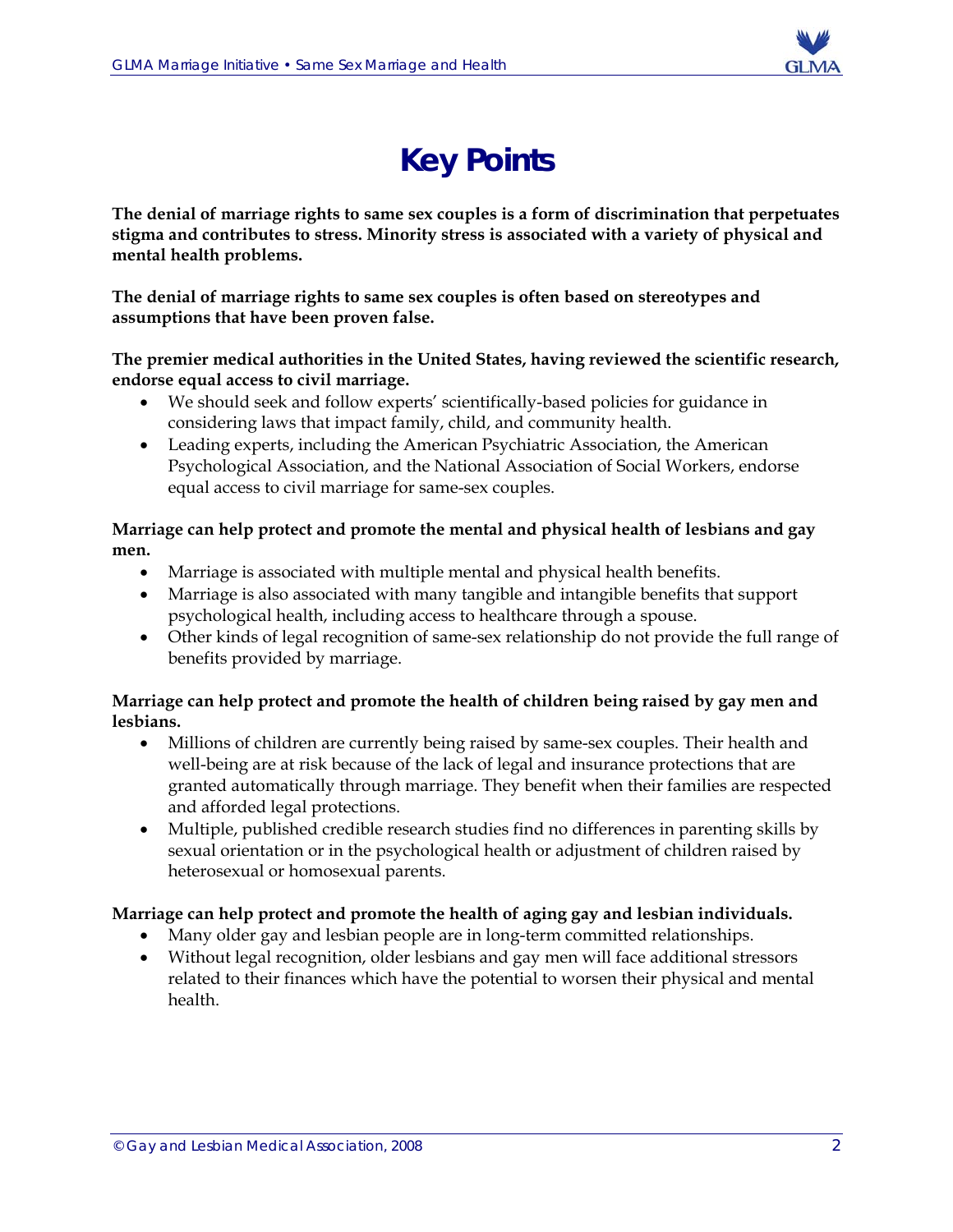

# **Key Points**

**The denial of marriage rights to same sex couples is a form of discrimination that perpetuates stigma and contributes to stress. Minority stress is associated with a variety of physical and mental health problems.** 

**The denial of marriage rights to same sex couples is often based on stereotypes and assumptions that have been proven false.** 

**The premier medical authorities in the United States, having reviewed the scientific research, endorse equal access to civil marriage.** 

- We should seek and follow experts' scientifically-based policies for guidance in considering laws that impact family, child, and community health.
- Leading experts, including the American Psychiatric Association, the American Psychological Association, and the National Association of Social Workers, endorse equal access to civil marriage for same-sex couples.

**Marriage can help protect and promote the mental and physical health of lesbians and gay men.** 

- Marriage is associated with multiple mental and physical health benefits.
- Marriage is also associated with many tangible and intangible benefits that support psychological health, including access to healthcare through a spouse.
- Other kinds of legal recognition of same-sex relationship do not provide the full range of benefits provided by marriage.

#### **Marriage can help protect and promote the health of children being raised by gay men and lesbians.**

- Millions of children are currently being raised by same-sex couples. Their health and well-being are at risk because of the lack of legal and insurance protections that are granted automatically through marriage. They benefit when their families are respected and afforded legal protections.
- Multiple, published credible research studies find no differences in parenting skills by sexual orientation or in the psychological health or adjustment of children raised by heterosexual or homosexual parents.

#### **Marriage can help protect and promote the health of aging gay and lesbian individuals.**

- Many older gay and lesbian people are in long-term committed relationships.
- Without legal recognition, older lesbians and gay men will face additional stressors related to their finances which have the potential to worsen their physical and mental health.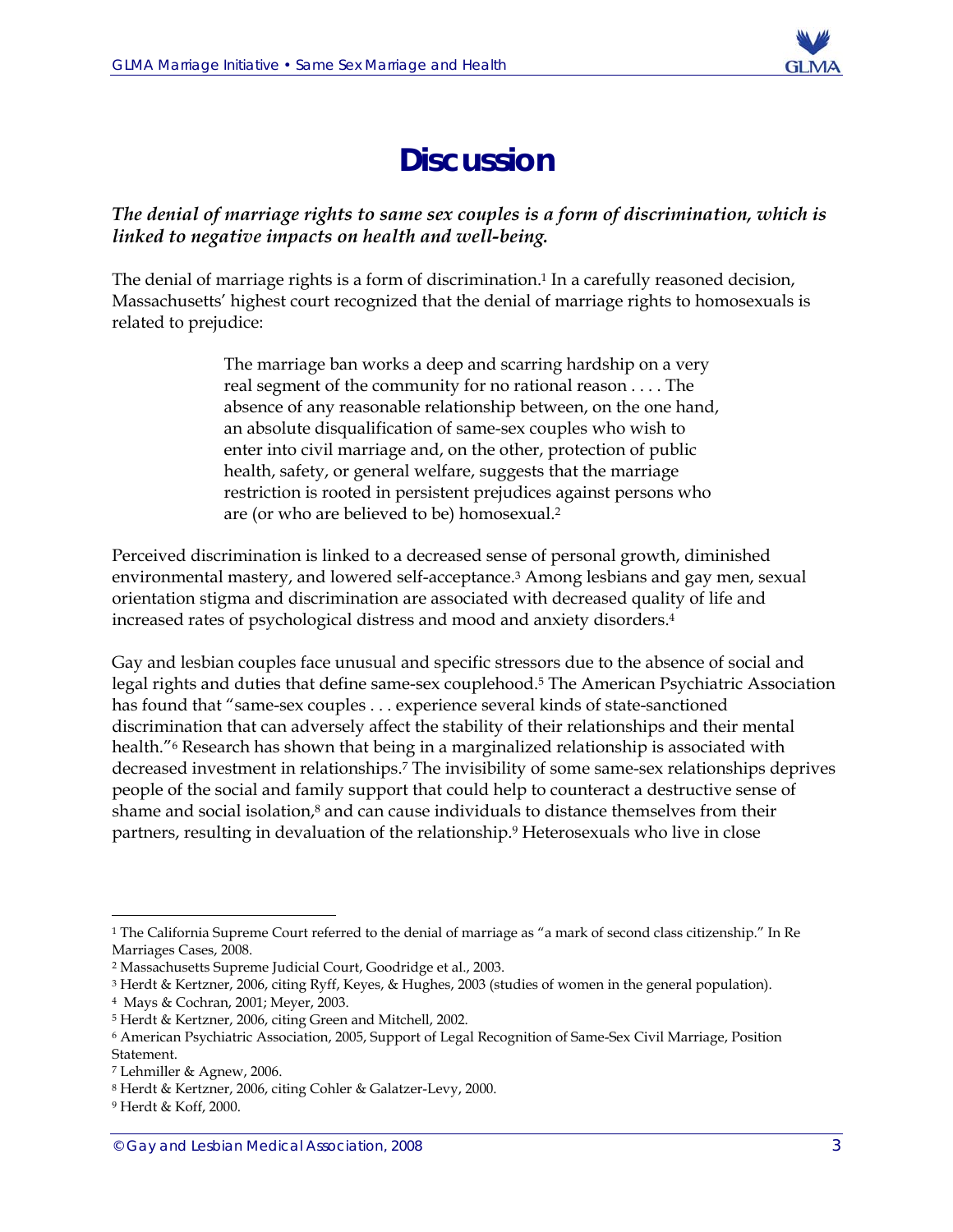

# **Discussion**

#### *The denial of marriage rights to same sex couples is a form of discrimination, which is linked to negative impacts on health and well-being.*

The denial of marriage rights is a form of discrimination.<sup>1</sup> In a carefully reasoned decision, Massachusetts' highest court recognized that the denial of marriage rights to homosexuals is related to prejudice:

> The marriage ban works a deep and scarring hardship on a very real segment of the community for no rational reason . . . . The absence of any reasonable relationship between, on the one hand, an absolute disqualification of same-sex couples who wish to enter into civil marriage and, on the other, protection of public health, safety, or general welfare, suggests that the marriage restriction is rooted in persistent prejudices against persons who are (or who are believed to be) homosexual.2

Perceived discrimination is linked to a decreased sense of personal growth, diminished environmental mastery, and lowered self-acceptance.3 Among lesbians and gay men, sexual orientation stigma and discrimination are associated with decreased quality of life and increased rates of psychological distress and mood and anxiety disorders.4

Gay and lesbian couples face unusual and specific stressors due to the absence of social and legal rights and duties that define same-sex couplehood.5 The American Psychiatric Association has found that "same-sex couples . . . experience several kinds of state-sanctioned discrimination that can adversely affect the stability of their relationships and their mental health."<sup>6</sup> Research has shown that being in a marginalized relationship is associated with decreased investment in relationships.7 The invisibility of some same-sex relationships deprives people of the social and family support that could help to counteract a destructive sense of shame and social isolation,<sup>8</sup> and can cause individuals to distance themselves from their partners, resulting in devaluation of the relationship.9 Heterosexuals who live in close

 $\overline{a}$ <sup>1</sup> The California Supreme Court referred to the denial of marriage as "a mark of second class citizenship." In Re Marriages Cases, 2008.

<sup>2</sup> Massachusetts Supreme Judicial Court, Goodridge et al., 2003.

<sup>3</sup> Herdt & Kertzner, 2006, citing Ryff, Keyes, & Hughes, 2003 (studies of women in the general population).

<sup>4</sup> Mays & Cochran, 2001; Meyer, 2003.

<sup>5</sup> Herdt & Kertzner, 2006, citing Green and Mitchell, 2002.

<sup>6</sup> American Psychiatric Association, 2005, Support of Legal Recognition of Same-Sex Civil Marriage, Position Statement.

<sup>7</sup> Lehmiller & Agnew, 2006.

<sup>8</sup> Herdt & Kertzner, 2006, citing Cohler & Galatzer-Levy, 2000.

<sup>9</sup> Herdt & Koff, 2000.

<sup>©</sup> Gay and Lesbian Medical Association, 2008 3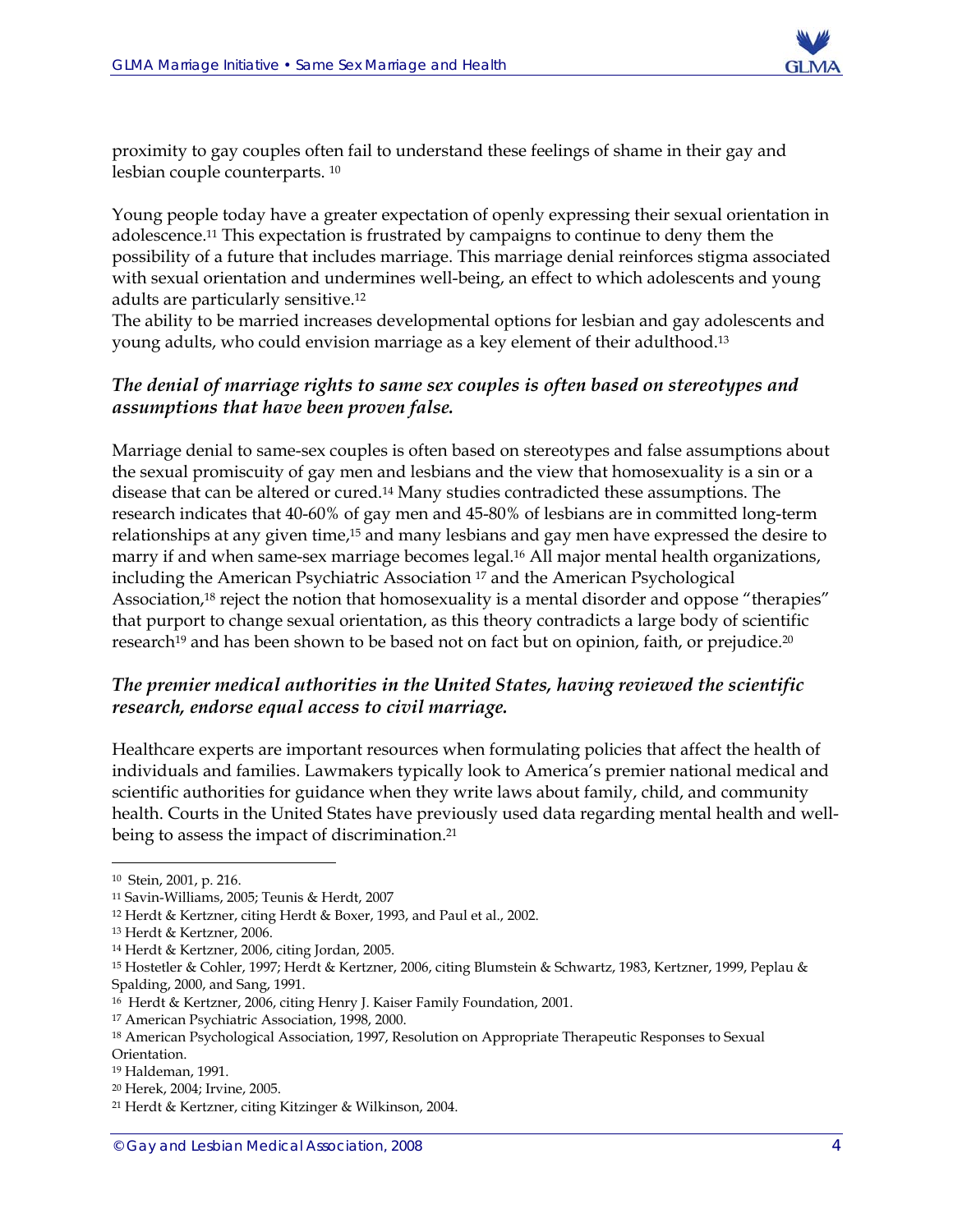

proximity to gay couples often fail to understand these feelings of shame in their gay and lesbian couple counterparts. 10

Young people today have a greater expectation of openly expressing their sexual orientation in adolescence.11 This expectation is frustrated by campaigns to continue to deny them the possibility of a future that includes marriage. This marriage denial reinforces stigma associated with sexual orientation and undermines well-being, an effect to which adolescents and young adults are particularly sensitive.12

The ability to be married increases developmental options for lesbian and gay adolescents and young adults, who could envision marriage as a key element of their adulthood.13

#### *The denial of marriage rights to same sex couples is often based on stereotypes and assumptions that have been proven false.*

Marriage denial to same-sex couples is often based on stereotypes and false assumptions about the sexual promiscuity of gay men and lesbians and the view that homosexuality is a sin or a disease that can be altered or cured.14 Many studies contradicted these assumptions. The research indicates that 40-60% of gay men and 45-80% of lesbians are in committed long-term relationships at any given time,15 and many lesbians and gay men have expressed the desire to marry if and when same-sex marriage becomes legal.16 All major mental health organizations, including the American Psychiatric Association 17 and the American Psychological Association,18 reject the notion that homosexuality is a mental disorder and oppose "therapies" that purport to change sexual orientation, as this theory contradicts a large body of scientific research<sup>19</sup> and has been shown to be based not on fact but on opinion, faith, or prejudice.<sup>20</sup>

#### *The premier medical authorities in the United States, having reviewed the scientific research, endorse equal access to civil marriage.*

Healthcare experts are important resources when formulating policies that affect the health of individuals and families. Lawmakers typically look to America's premier national medical and scientific authorities for guidance when they write laws about family, child, and community health. Courts in the United States have previously used data regarding mental health and wellbeing to assess the impact of discrimination.21

 $\overline{a}$ 

20 Herek, 2004; Irvine, 2005.

<sup>10</sup> Stein, 2001, p. 216.

<sup>11</sup> Savin-Williams, 2005; Teunis & Herdt, 2007

<sup>12</sup> Herdt & Kertzner, citing Herdt & Boxer, 1993, and Paul et al., 2002.

<sup>13</sup> Herdt & Kertzner, 2006.

<sup>14</sup> Herdt & Kertzner, 2006, citing Jordan, 2005.

<sup>15</sup> Hostetler & Cohler, 1997; Herdt & Kertzner, 2006, citing Blumstein & Schwartz, 1983, Kertzner, 1999, Peplau & Spalding, 2000, and Sang, 1991.

<sup>16</sup> Herdt & Kertzner, 2006, citing Henry J. Kaiser Family Foundation, 2001.

<sup>17</sup> American Psychiatric Association, 1998, 2000.

<sup>18</sup> American Psychological Association, 1997, Resolution on Appropriate Therapeutic Responses to Sexual Orientation.

<sup>19</sup> Haldeman, 1991.

<sup>21</sup> Herdt & Kertzner, citing Kitzinger & Wilkinson, 2004.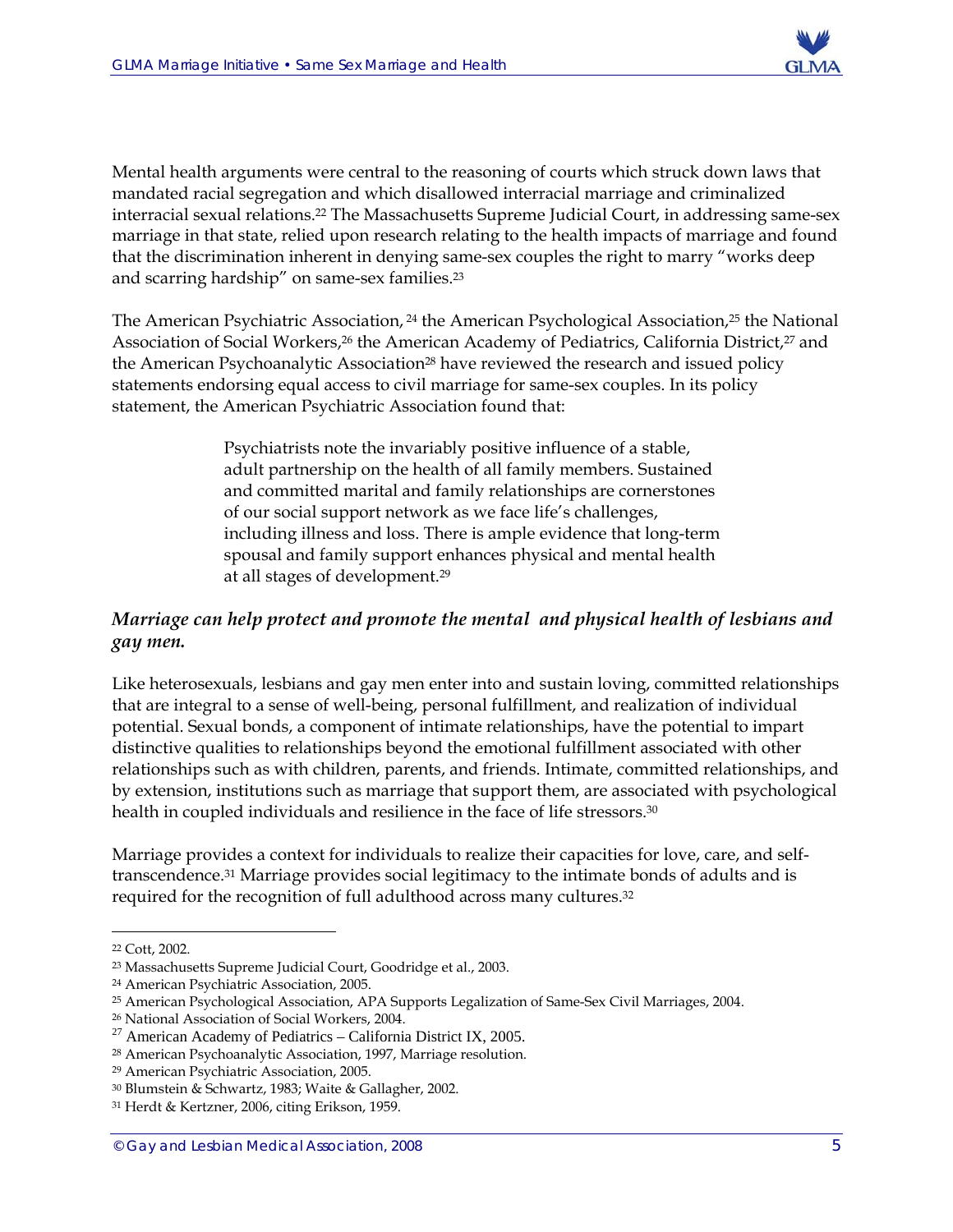

Mental health arguments were central to the reasoning of courts which struck down laws that mandated racial segregation and which disallowed interracial marriage and criminalized interracial sexual relations.22 The Massachusetts Supreme Judicial Court, in addressing same-sex marriage in that state, relied upon research relating to the health impacts of marriage and found that the discrimination inherent in denying same-sex couples the right to marry "works deep and scarring hardship" on same-sex families.23

The American Psychiatric Association, <sup>24</sup> the American Psychological Association, <sup>25</sup> the National Association of Social Workers,<sup>26</sup> the American Academy of Pediatrics, California District,<sup>27</sup> and the American Psychoanalytic Association<sup>28</sup> have reviewed the research and issued policy statements endorsing equal access to civil marriage for same-sex couples. In its policy statement, the American Psychiatric Association found that:

> Psychiatrists note the invariably positive influence of a stable, adult partnership on the health of all family members. Sustained and committed marital and family relationships are cornerstones of our social support network as we face life's challenges, including illness and loss. There is ample evidence that long-term spousal and family support enhances physical and mental health at all stages of development.29

#### *Marriage can help protect and promote the mental and physical health of lesbians and gay men.*

Like heterosexuals, lesbians and gay men enter into and sustain loving, committed relationships that are integral to a sense of well-being, personal fulfillment, and realization of individual potential. Sexual bonds, a component of intimate relationships, have the potential to impart distinctive qualities to relationships beyond the emotional fulfillment associated with other relationships such as with children, parents, and friends. Intimate, committed relationships, and by extension, institutions such as marriage that support them, are associated with psychological health in coupled individuals and resilience in the face of life stressors.<sup>30</sup>

Marriage provides a context for individuals to realize their capacities for love, care, and selftranscendence.31 Marriage provides social legitimacy to the intimate bonds of adults and is required for the recognition of full adulthood across many cultures.<sup>32</sup>

<sup>22</sup> Cott, 2002.

<sup>23</sup> Massachusetts Supreme Judicial Court, Goodridge et al., 2003.

<sup>24</sup> American Psychiatric Association, 2005.

<sup>25</sup> American Psychological Association, APA Supports Legalization of Same-Sex Civil Marriages, 2004.

<sup>&</sup>lt;sup>26</sup> National Association of Social Workers, 2004.<br><sup>27</sup> American Academy of Pediatrics – California District IX, 2005.

<sup>28</sup> American Psychoanalytic Association, 1997, Marriage resolution.

<sup>29</sup> American Psychiatric Association, 2005.

<sup>30</sup> Blumstein & Schwartz, 1983; Waite & Gallagher, 2002.

<sup>31</sup> Herdt & Kertzner, 2006, citing Erikson, 1959.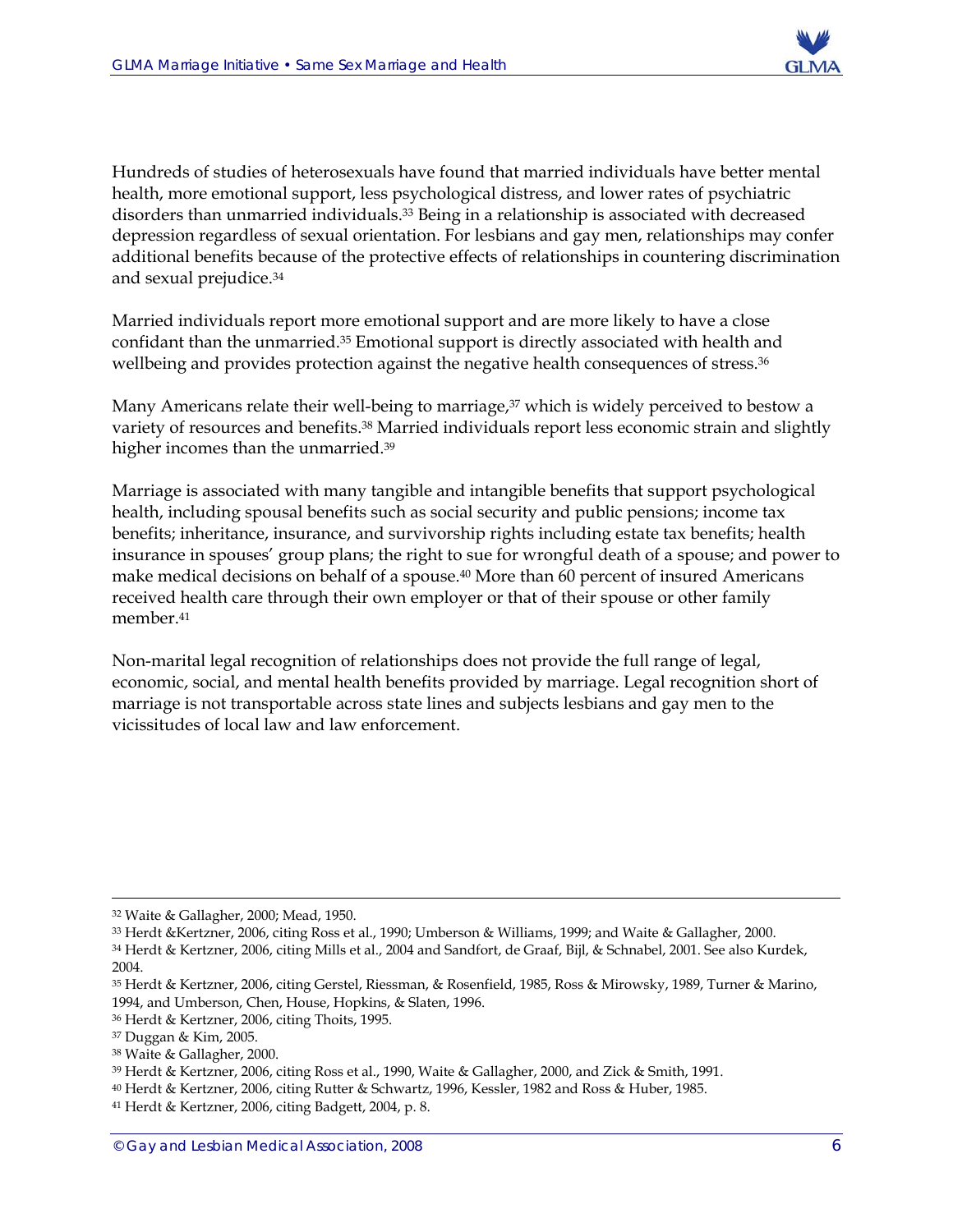

Hundreds of studies of heterosexuals have found that married individuals have better mental health, more emotional support, less psychological distress, and lower rates of psychiatric disorders than unmarried individuals.<sup>33</sup> Being in a relationship is associated with decreased depression regardless of sexual orientation. For lesbians and gay men, relationships may confer additional benefits because of the protective effects of relationships in countering discrimination and sexual prejudice.34

Married individuals report more emotional support and are more likely to have a close confidant than the unmarried.<sup>35</sup> Emotional support is directly associated with health and wellbeing and provides protection against the negative health consequences of stress.<sup>36</sup>

Many Americans relate their well-being to marriage, $37$  which is widely perceived to bestow a variety of resources and benefits.38 Married individuals report less economic strain and slightly higher incomes than the unmarried.39

Marriage is associated with many tangible and intangible benefits that support psychological health, including spousal benefits such as social security and public pensions; income tax benefits; inheritance, insurance, and survivorship rights including estate tax benefits; health insurance in spouses' group plans; the right to sue for wrongful death of a spouse; and power to make medical decisions on behalf of a spouse.40 More than 60 percent of insured Americans received health care through their own employer or that of their spouse or other family member.41

Non-marital legal recognition of relationships does not provide the full range of legal, economic, social, and mental health benefits provided by marriage. Legal recognition short of marriage is not transportable across state lines and subjects lesbians and gay men to the vicissitudes of local law and law enforcement.

<sup>32</sup> Waite & Gallagher, 2000; Mead, 1950.

<sup>33</sup> Herdt &Kertzner, 2006, citing Ross et al., 1990; Umberson & Williams, 1999; and Waite & Gallagher, 2000.

<sup>34</sup> Herdt & Kertzner, 2006, citing Mills et al., 2004 and Sandfort, de Graaf, Bijl, & Schnabel, 2001. See also Kurdek, 2004.

<sup>35</sup> Herdt & Kertzner, 2006, citing Gerstel, Riessman, & Rosenfield, 1985, Ross & Mirowsky, 1989, Turner & Marino, 1994, and Umberson, Chen, House, Hopkins, & Slaten, 1996.

<sup>36</sup> Herdt & Kertzner, 2006, citing Thoits, 1995.

<sup>37</sup> Duggan & Kim, 2005.

<sup>38</sup> Waite & Gallagher, 2000.

<sup>39</sup> Herdt & Kertzner, 2006, citing Ross et al., 1990, Waite & Gallagher, 2000, and Zick & Smith, 1991.

<sup>40</sup> Herdt & Kertzner, 2006, citing Rutter & Schwartz, 1996, Kessler, 1982 and Ross & Huber, 1985.

<sup>41</sup> Herdt & Kertzner, 2006, citing Badgett, 2004, p. 8.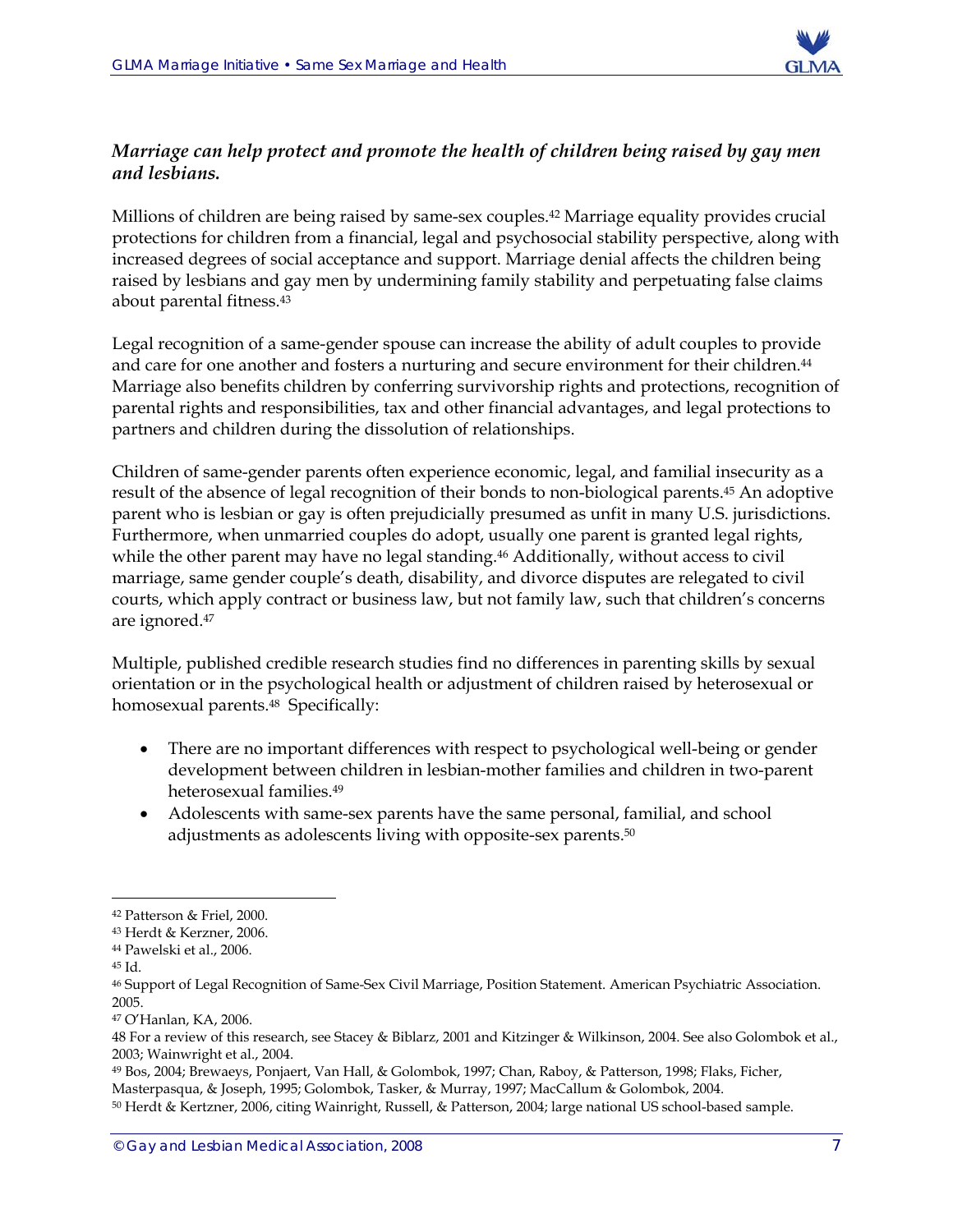

#### *Marriage can help protect and promote the health of children being raised by gay men and lesbians.*

Millions of children are being raised by same-sex couples.42 Marriage equality provides crucial protections for children from a financial, legal and psychosocial stability perspective, along with increased degrees of social acceptance and support. Marriage denial affects the children being raised by lesbians and gay men by undermining family stability and perpetuating false claims about parental fitness.43

Legal recognition of a same-gender spouse can increase the ability of adult couples to provide and care for one another and fosters a nurturing and secure environment for their children.<sup>44</sup> Marriage also benefits children by conferring survivorship rights and protections, recognition of parental rights and responsibilities, tax and other financial advantages, and legal protections to partners and children during the dissolution of relationships.

Children of same-gender parents often experience economic, legal, and familial insecurity as a result of the absence of legal recognition of their bonds to non-biological parents.45 An adoptive parent who is lesbian or gay is often prejudicially presumed as unfit in many U.S. jurisdictions. Furthermore, when unmarried couples do adopt, usually one parent is granted legal rights, while the other parent may have no legal standing.<sup>46</sup> Additionally, without access to civil marriage, same gender couple's death, disability, and divorce disputes are relegated to civil courts, which apply contract or business law, but not family law, such that children's concerns are ignored.47

Multiple, published credible research studies find no differences in parenting skills by sexual orientation or in the psychological health or adjustment of children raised by heterosexual or homosexual parents.48 Specifically:

- There are no important differences with respect to psychological well-being or gender development between children in lesbian-mother families and children in two-parent heterosexual families.49
- Adolescents with same-sex parents have the same personal, familial, and school adjustments as adolescents living with opposite-sex parents.50

<sup>42</sup> Patterson & Friel, 2000.

<sup>43</sup> Herdt & Kerzner, 2006.

<sup>44</sup> Pawelski et al., 2006.

<sup>45</sup> Id.

<sup>46</sup> Support of Legal Recognition of Same-Sex Civil Marriage, Position Statement. American Psychiatric Association. 2005.

<sup>47</sup> O'Hanlan, KA, 2006.

<sup>48</sup> For a review of this research, see Stacey & Biblarz, 2001 and Kitzinger & Wilkinson, 2004. See also Golombok et al., 2003; Wainwright et al., 2004.

<sup>49</sup> Bos, 2004; Brewaeys, Ponjaert, Van Hall, & Golombok, 1997; Chan, Raboy, & Patterson, 1998; Flaks, Ficher, Masterpasqua, & Joseph, 1995; Golombok, Tasker, & Murray, 1997; MacCallum & Golombok, 2004.

<sup>50</sup> Herdt & Kertzner, 2006, citing Wainright, Russell, & Patterson, 2004; large national US school-based sample.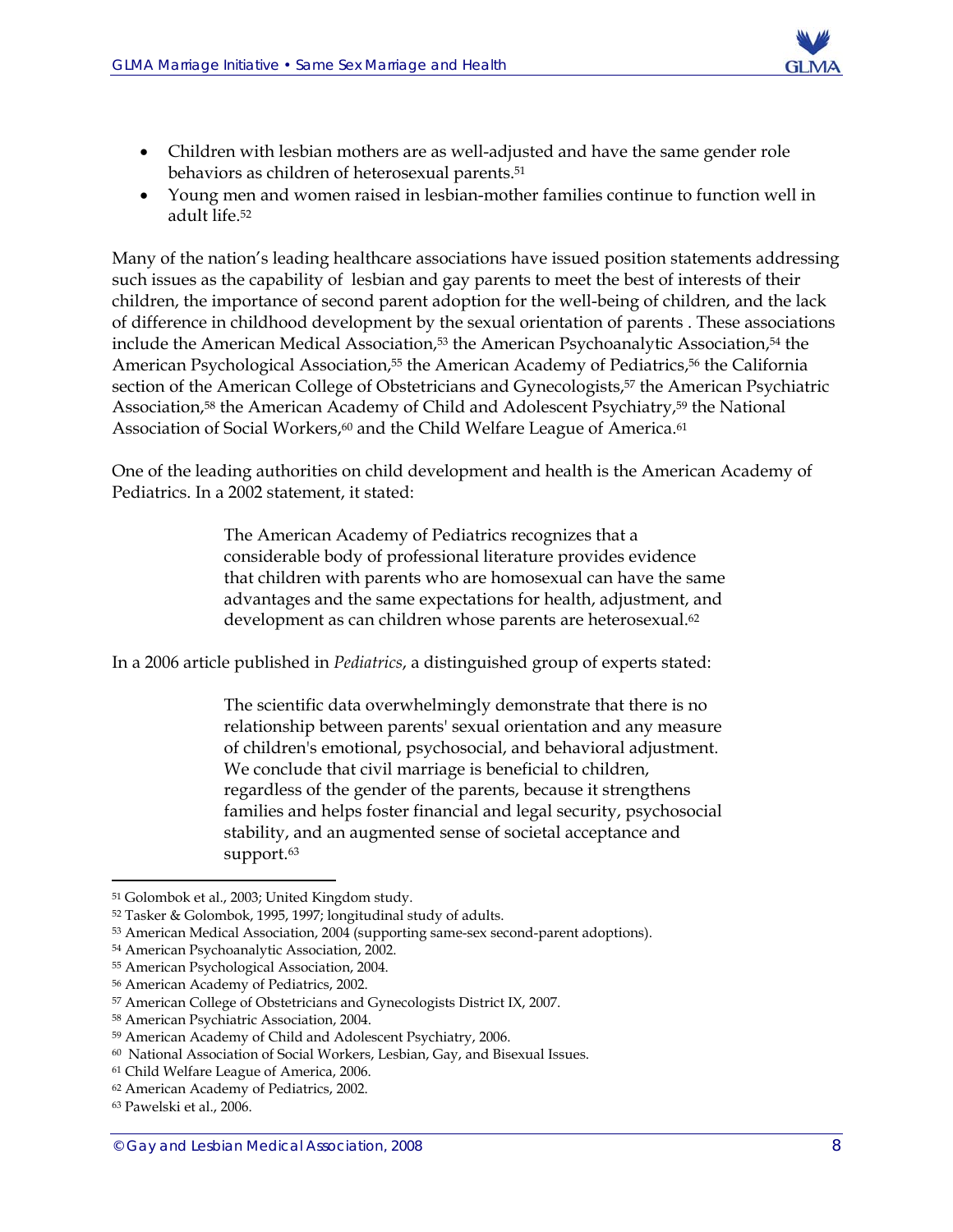

- Children with lesbian mothers are as well-adjusted and have the same gender role behaviors as children of heterosexual parents.51
- Young men and women raised in lesbian-mother families continue to function well in adult life.52

Many of the nation's leading healthcare associations have issued position statements addressing such issues as the capability of lesbian and gay parents to meet the best of interests of their children, the importance of second parent adoption for the well-being of children, and the lack of difference in childhood development by the sexual orientation of parents . These associations include the American Medical Association,<sup>53</sup> the American Psychoanalytic Association,<sup>54</sup> the American Psychological Association,<sup>55</sup> the American Academy of Pediatrics,<sup>56</sup> the California section of the American College of Obstetricians and Gynecologists,<sup>57</sup> the American Psychiatric Association,58 the American Academy of Child and Adolescent Psychiatry,59 the National Association of Social Workers,<sup>60</sup> and the Child Welfare League of America.<sup>61</sup>

One of the leading authorities on child development and health is the American Academy of Pediatrics. In a 2002 statement, it stated:

> The American Academy of Pediatrics recognizes that a considerable body of professional literature provides evidence that children with parents who are homosexual can have the same advantages and the same expectations for health, adjustment, and development as can children whose parents are heterosexual.<sup>62</sup>

In a 2006 article published in *Pediatrics*, a distinguished group of experts stated:

The scientific data overwhelmingly demonstrate that there is no relationship between parents' sexual orientation and any measure of children's emotional, psychosocial, and behavioral adjustment. We conclude that civil marriage is beneficial to children, regardless of the gender of the parents, because it strengthens families and helps foster financial and legal security, psychosocial stability, and an augmented sense of societal acceptance and support.<sup>63</sup>

<sup>51</sup> Golombok et al., 2003; United Kingdom study.

<sup>52</sup> Tasker & Golombok, 1995, 1997; longitudinal study of adults.

<sup>53</sup> American Medical Association, 2004 (supporting same-sex second-parent adoptions).

<sup>54</sup> American Psychoanalytic Association, 2002.

<sup>55</sup> American Psychological Association, 2004.

<sup>56</sup> American Academy of Pediatrics, 2002.

<sup>57</sup> American College of Obstetricians and Gynecologists District IX, 2007.

<sup>58</sup> American Psychiatric Association, 2004.

<sup>59</sup> American Academy of Child and Adolescent Psychiatry, 2006.

<sup>60</sup> National Association of Social Workers, Lesbian, Gay, and Bisexual Issues.

<sup>61</sup> Child Welfare League of America, 2006.

<sup>62</sup> American Academy of Pediatrics, 2002.

<sup>63</sup> Pawelski et al., 2006.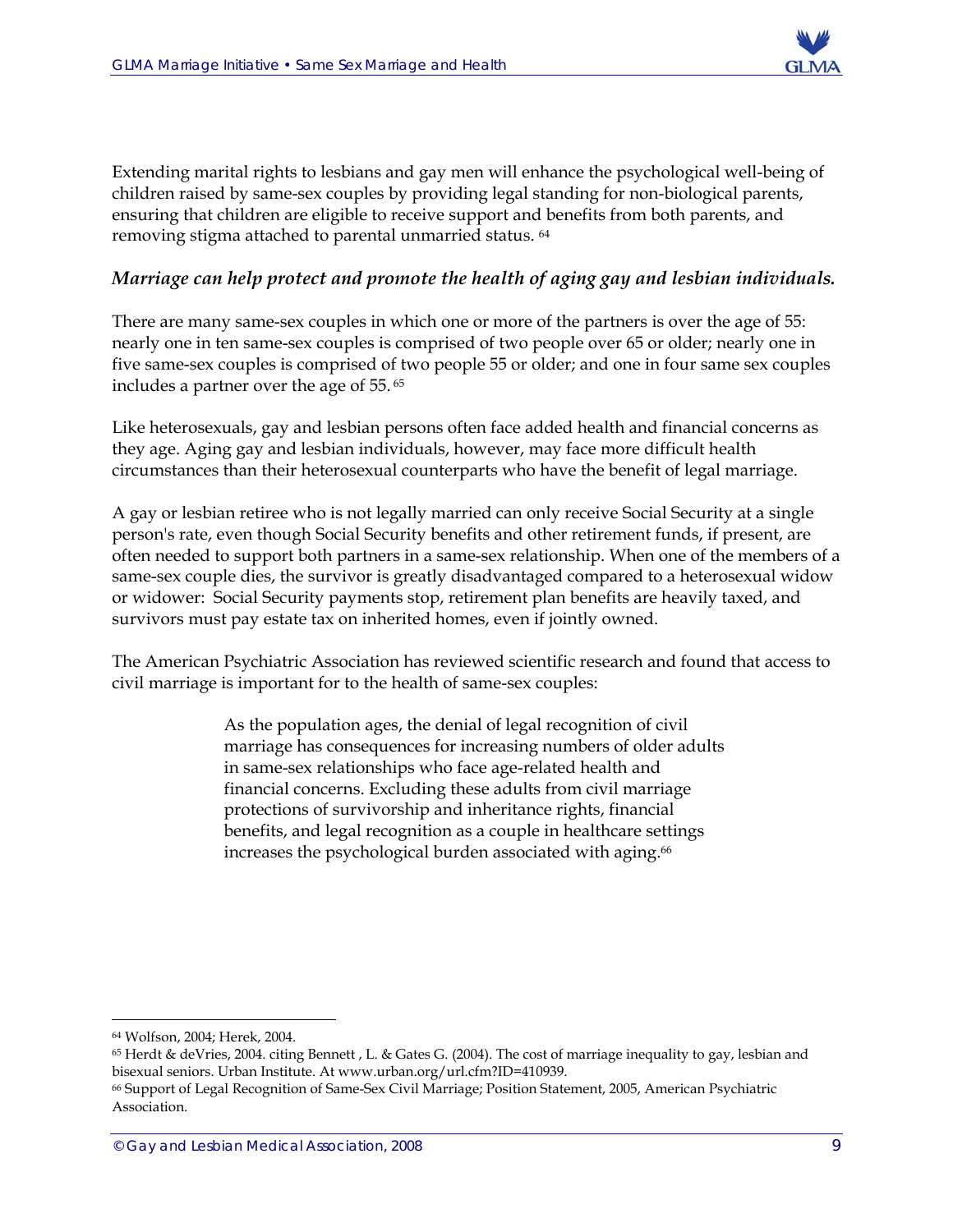

Extending marital rights to lesbians and gay men will enhance the psychological well-being of children raised by same-sex couples by providing legal standing for non-biological parents, ensuring that children are eligible to receive support and benefits from both parents, and removing stigma attached to parental unmarried status. 64

#### *Marriage can help protect and promote the health of aging gay and lesbian individuals.*

There are many same-sex couples in which one or more of the partners is over the age of 55: nearly one in ten same-sex couples is comprised of two people over 65 or older; nearly one in five same-sex couples is comprised of two people 55 or older; and one in four same sex couples includes a partner over the age of 55. 65

Like heterosexuals, gay and lesbian persons often face added health and financial concerns as they age. Aging gay and lesbian individuals, however, may face more difficult health circumstances than their heterosexual counterparts who have the benefit of legal marriage.

A gay or lesbian retiree who is not legally married can only receive Social Security at a single person's rate, even though Social Security benefits and other retirement funds, if present, are often needed to support both partners in a same-sex relationship. When one of the members of a same-sex couple dies, the survivor is greatly disadvantaged compared to a heterosexual widow or widower: Social Security payments stop, retirement plan benefits are heavily taxed, and survivors must pay estate tax on inherited homes, even if jointly owned.

The American Psychiatric Association has reviewed scientific research and found that access to civil marriage is important for to the health of same-sex couples:

> As the population ages, the denial of legal recognition of civil marriage has consequences for increasing numbers of older adults in same-sex relationships who face age-related health and financial concerns. Excluding these adults from civil marriage protections of survivorship and inheritance rights, financial benefits, and legal recognition as a couple in healthcare settings increases the psychological burden associated with aging.<sup>66</sup>

<sup>64</sup> Wolfson, 2004; Herek, 2004.

<sup>65</sup> Herdt & deVries, 2004. citing Bennett , L. & Gates G. (2004). The cost of marriage inequality to gay, lesbian and bisexual seniors. Urban Institute. At www.urban.org/url.cfm?ID=410939.

<sup>66</sup> Support of Legal Recognition of Same-Sex Civil Marriage; Position Statement, 2005, American Psychiatric Association.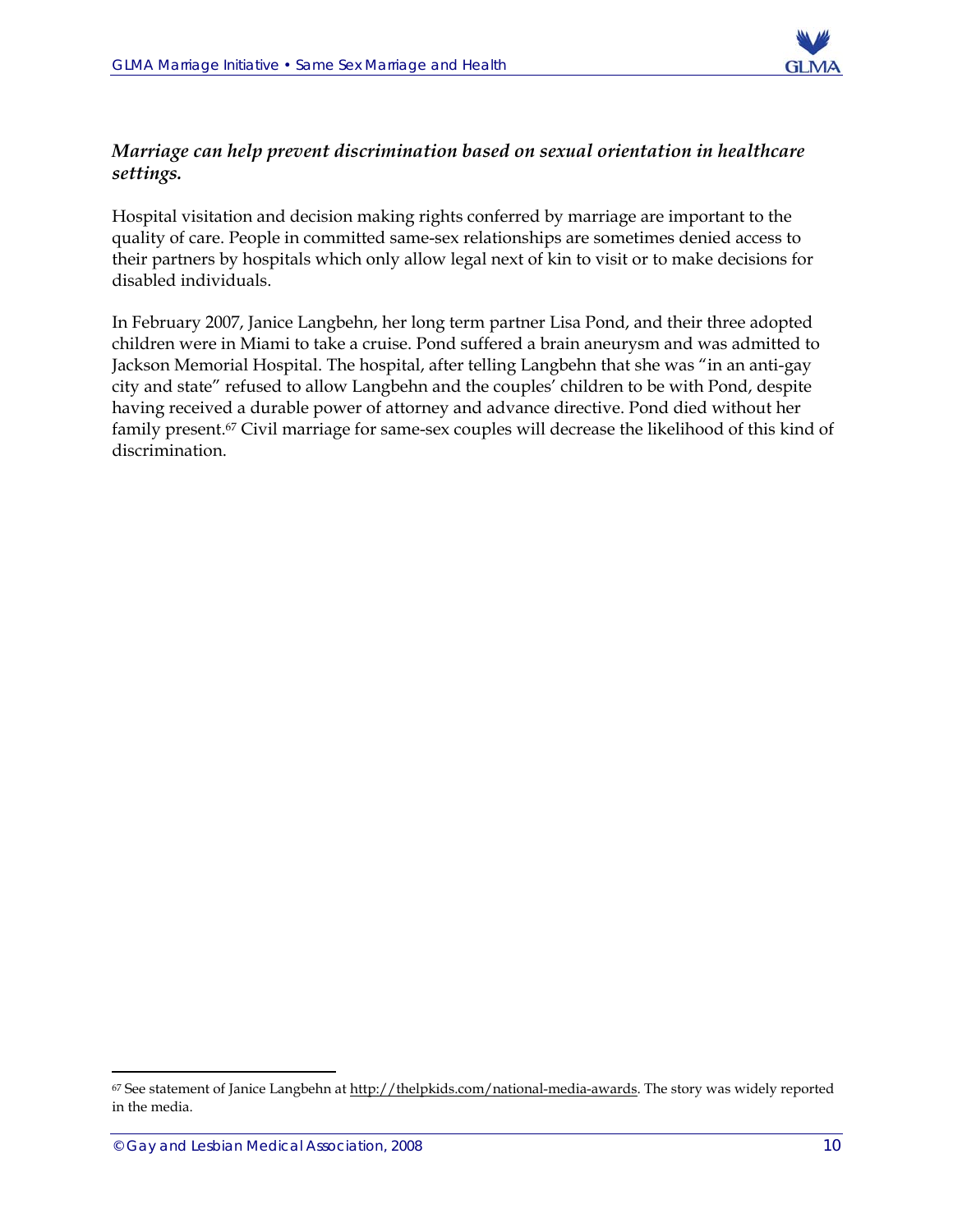

#### *Marriage can help prevent discrimination based on sexual orientation in healthcare settings.*

Hospital visitation and decision making rights conferred by marriage are important to the quality of care. People in committed same-sex relationships are sometimes denied access to their partners by hospitals which only allow legal next of kin to visit or to make decisions for disabled individuals.

In February 2007, Janice Langbehn, her long term partner Lisa Pond, and their three adopted children were in Miami to take a cruise. Pond suffered a brain aneurysm and was admitted to Jackson Memorial Hospital. The hospital, after telling Langbehn that she was "in an anti-gay city and state" refused to allow Langbehn and the couples' children to be with Pond, despite having received a durable power of attorney and advance directive. Pond died without her family present.67 Civil marriage for same-sex couples will decrease the likelihood of this kind of discrimination.

<sup>67</sup> See statement of Janice Langbehn at http://thelpkids.com/national-media-awards. The story was widely reported in the media.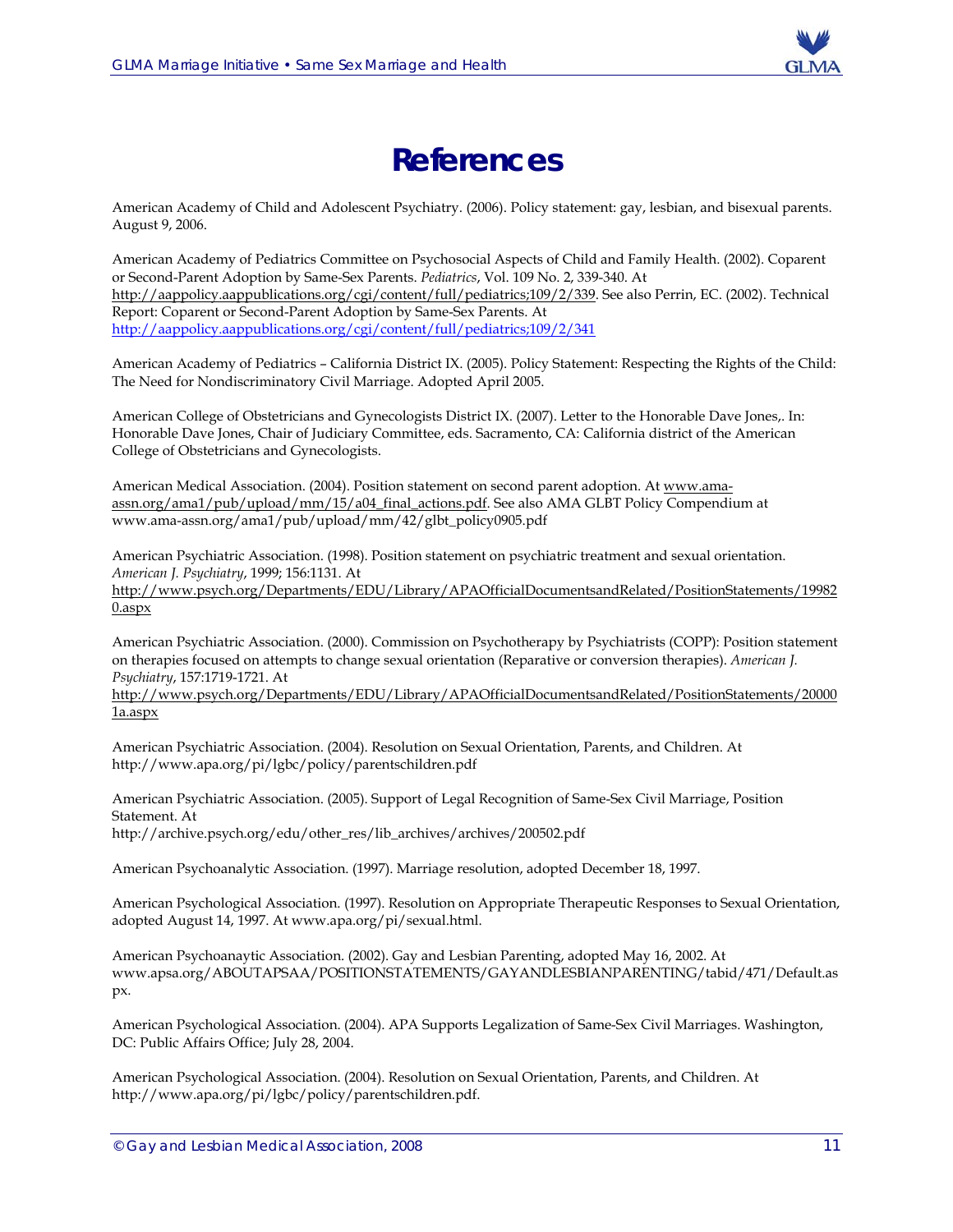

### **References**

American Academy of Child and Adolescent Psychiatry. (2006). Policy statement: gay, lesbian, and bisexual parents. August 9, 2006.

American Academy of Pediatrics Committee on Psychosocial Aspects of Child and Family Health. (2002). Coparent or Second-Parent Adoption by Same-Sex Parents. *Pediatrics*, Vol. 109 No. 2, 339-340. At http://aappolicy.aappublications.org/cgi/content/full/pediatrics;109/2/339. See also Perrin, EC. (2002). Technical Report: Coparent or Second-Parent Adoption by Same-Sex Parents. At http://aappolicy.aappublications.org/cgi/content/full/pediatrics;109/2/341

American Academy of Pediatrics – California District IX. (2005). Policy Statement: Respecting the Rights of the Child: The Need for Nondiscriminatory Civil Marriage. Adopted April 2005.

American College of Obstetricians and Gynecologists District IX. (2007). Letter to the Honorable Dave Jones,. In: Honorable Dave Jones, Chair of Judiciary Committee, eds. Sacramento, CA: California district of the American College of Obstetricians and Gynecologists.

American Medical Association. (2004). Position statement on second parent adoption. At www.amaassn.org/ama1/pub/upload/mm/15/a04\_final\_actions.pdf. See also AMA GLBT Policy Compendium at www.ama-assn.org/ama1/pub/upload/mm/42/glbt\_policy0905.pdf

American Psychiatric Association. (1998). Position statement on psychiatric treatment and sexual orientation. *American J. Psychiatry*, 1999; 156:1131. At http://www.psych.org/Departments/EDU/Library/APAOfficialDocumentsandRelated/PositionStatements/19982

0.aspx

American Psychiatric Association. (2000). Commission on Psychotherapy by Psychiatrists (COPP): Position statement on therapies focused on attempts to change sexual orientation (Reparative or conversion therapies). *American J. Psychiatry*, 157:1719-1721. At

http://www.psych.org/Departments/EDU/Library/APAOfficialDocumentsandRelated/PositionStatements/20000 1a.aspx

American Psychiatric Association. (2004). Resolution on Sexual Orientation, Parents, and Children. At http://www.apa.org/pi/lgbc/policy/parentschildren.pdf

American Psychiatric Association. (2005). Support of Legal Recognition of Same-Sex Civil Marriage, Position Statement. At http://archive.psych.org/edu/other\_res/lib\_archives/archives/200502.pdf

American Psychoanalytic Association. (1997). Marriage resolution, adopted December 18, 1997.

American Psychological Association. (1997). Resolution on Appropriate Therapeutic Responses to Sexual Orientation, adopted August 14, 1997. At www.apa.org/pi/sexual.html.

American Psychoanaytic Association. (2002). Gay and Lesbian Parenting, adopted May 16, 2002. At www.apsa.org/ABOUTAPSAA/POSITIONSTATEMENTS/GAYANDLESBIANPARENTING/tabid/471/Default.as px.

American Psychological Association. (2004). APA Supports Legalization of Same-Sex Civil Marriages. Washington, DC: Public Affairs Office; July 28, 2004.

American Psychological Association. (2004). Resolution on Sexual Orientation, Parents, and Children. At http://www.apa.org/pi/lgbc/policy/parentschildren.pdf.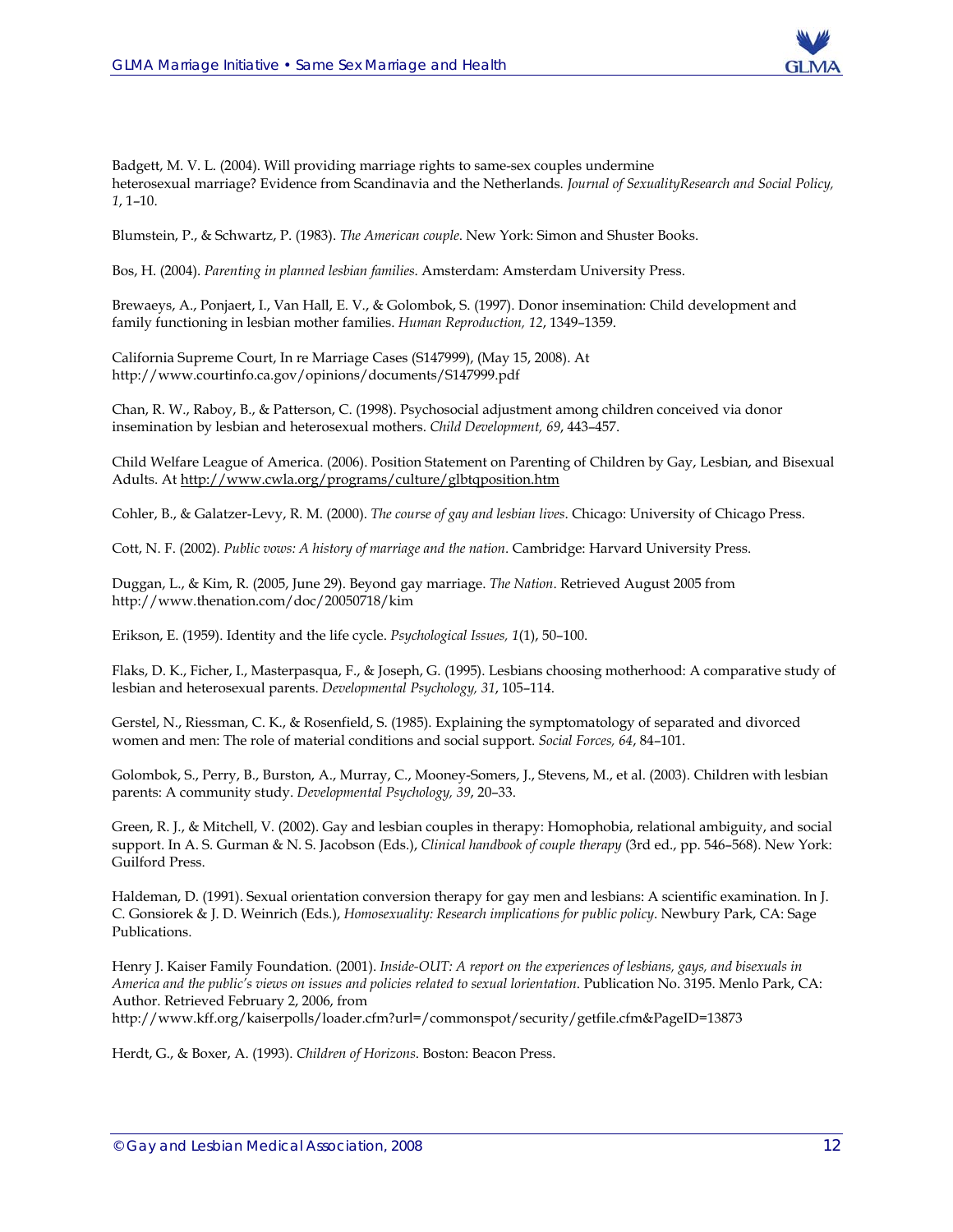

Badgett, M. V. L. (2004). Will providing marriage rights to same-sex couples undermine heterosexual marriage? Evidence from Scandinavia and the Netherlands*. Journal of SexualityResearch and Social Policy, 1*, 1–10.

Blumstein, P., & Schwartz, P. (1983). *The American couple*. New York: Simon and Shuster Books.

Bos, H. (2004). *Parenting in planned lesbian families*. Amsterdam: Amsterdam University Press.

Brewaeys, A., Ponjaert, I., Van Hall, E. V., & Golombok, S. (1997). Donor insemination: Child development and family functioning in lesbian mother families. *Human Reproduction, 12*, 1349–1359.

California Supreme Court, In re Marriage Cases (S147999), (May 15, 2008). At http://www.courtinfo.ca.gov/opinions/documents/S147999.pdf

Chan, R. W., Raboy, B., & Patterson, C. (1998). Psychosocial adjustment among children conceived via donor insemination by lesbian and heterosexual mothers. *Child Development, 69*, 443–457.

Child Welfare League of America. (2006). Position Statement on Parenting of Children by Gay, Lesbian, and Bisexual Adults. At http://www.cwla.org/programs/culture/glbtqposition.htm

Cohler, B., & Galatzer-Levy, R. M. (2000). *The course of gay and lesbian lives*. Chicago: University of Chicago Press.

Cott, N. F. (2002). *Public vows: A history of marriage and the nation*. Cambridge: Harvard University Press.

Duggan, L., & Kim, R. (2005, June 29). Beyond gay marriage. *The Nation*. Retrieved August 2005 from http://www.thenation.com/doc/20050718/kim

Erikson, E. (1959). Identity and the life cycle. *Psychological Issues, 1*(1), 50–100.

Flaks, D. K., Ficher, I., Masterpasqua, F., & Joseph, G. (1995). Lesbians choosing motherhood: A comparative study of lesbian and heterosexual parents. *Developmental Psychology, 31*, 105–114.

Gerstel, N., Riessman, C. K., & Rosenfield, S. (1985). Explaining the symptomatology of separated and divorced women and men: The role of material conditions and social support. *Social Forces, 64*, 84–101.

Golombok, S., Perry, B., Burston, A., Murray, C., Mooney-Somers, J., Stevens, M., et al. (2003). Children with lesbian parents: A community study. *Developmental Psychology, 39*, 20–33.

Green, R. J., & Mitchell, V. (2002). Gay and lesbian couples in therapy: Homophobia, relational ambiguity, and social support. In A. S. Gurman & N. S. Jacobson (Eds.), *Clinical handbook of couple therapy* (3rd ed., pp. 546–568). New York: Guilford Press.

Haldeman, D. (1991). Sexual orientation conversion therapy for gay men and lesbians: A scientific examination. In J. C. Gonsiorek & J. D. Weinrich (Eds.), *Homosexuality: Research implications for public policy*. Newbury Park, CA: Sage Publications.

Henry J. Kaiser Family Foundation. (2001). *Inside-OUT: A report on the experiences of lesbians, gays, and bisexuals in America and the public's views on issues and policies related to sexual lorientation*. Publication No. 3195. Menlo Park, CA: Author. Retrieved February 2, 2006, from

http://www.kff.org/kaiserpolls/loader.cfm?url=/commonspot/security/getfile.cfm&PageID=13873

Herdt, G., & Boxer, A. (1993). *Children of Horizons*. Boston: Beacon Press.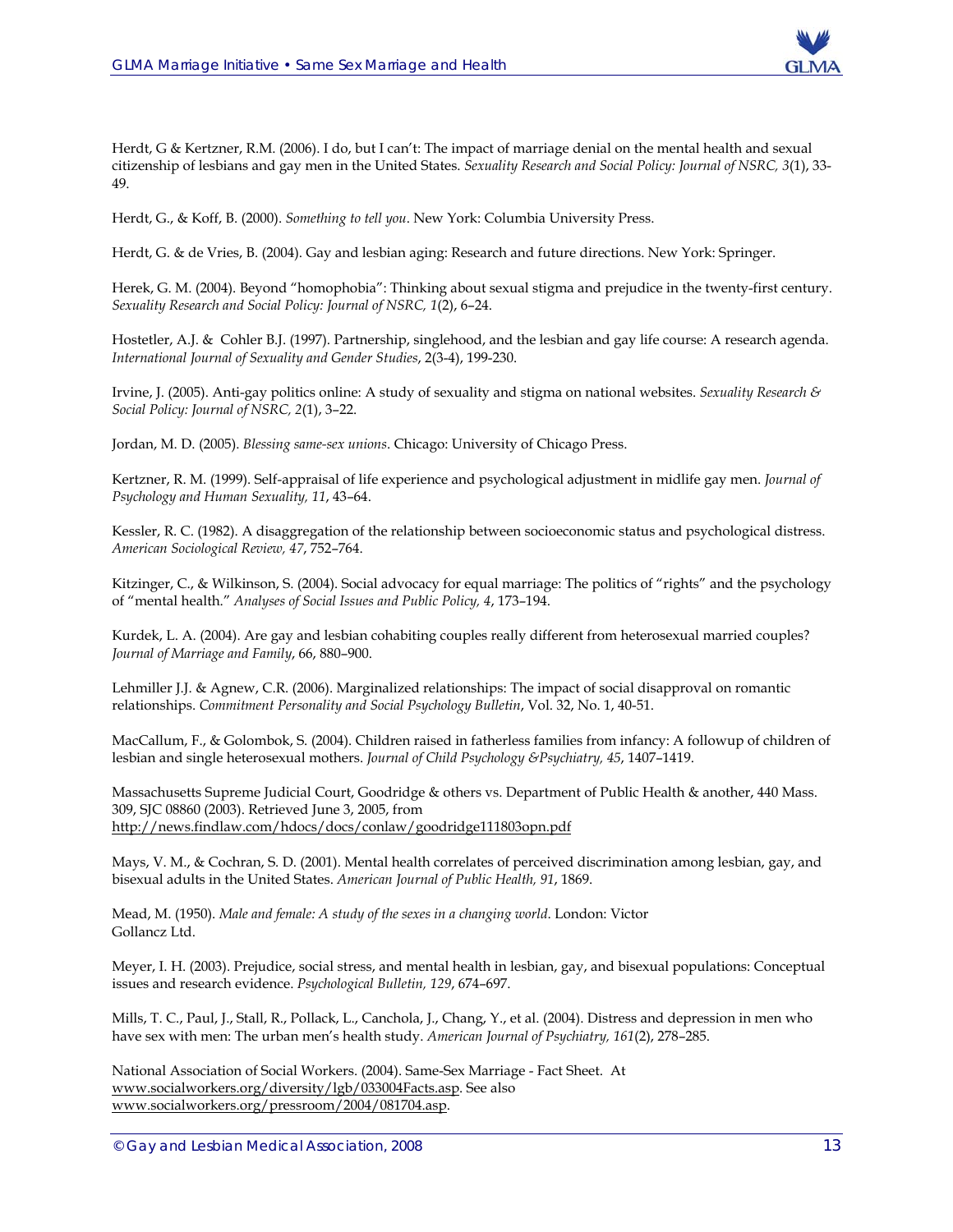

Herdt, G & Kertzner, R.M. (2006). I do, but I can't: The impact of marriage denial on the mental health and sexual citizenship of lesbians and gay men in the United States. *Sexuality Research and Social Policy: Journal of NSRC, 3*(1), 33- 49.

Herdt, G., & Koff, B. (2000). *Something to tell you*. New York: Columbia University Press.

Herdt, G. & de Vries, B. (2004). Gay and lesbian aging: Research and future directions. New York: Springer.

Herek, G. M. (2004). Beyond "homophobia": Thinking about sexual stigma and prejudice in the twenty-first century. *Sexuality Research and Social Policy: Journal of NSRC, 1*(2), 6–24.

Hostetler, A.J. & Cohler B.J. (1997). Partnership, singlehood, and the lesbian and gay life course: A research agenda. *International Journal of Sexuality and Gender Studies*, 2(3-4), 199-230.

Irvine, J. (2005). Anti-gay politics online: A study of sexuality and stigma on national websites. *Sexuality Research & Social Policy: Journal of NSRC, 2*(1), 3–22.

Jordan, M. D. (2005). *Blessing same-sex unions*. Chicago: University of Chicago Press.

Kertzner, R. M. (1999). Self-appraisal of life experience and psychological adjustment in midlife gay men. *Journal of Psychology and Human Sexuality, 11*, 43–64.

Kessler, R. C. (1982). A disaggregation of the relationship between socioeconomic status and psychological distress. *American Sociological Review, 47*, 752–764.

Kitzinger, C., & Wilkinson, S. (2004). Social advocacy for equal marriage: The politics of "rights" and the psychology of "mental health." *Analyses of Social Issues and Public Policy, 4*, 173–194.

Kurdek, L. A. (2004). Are gay and lesbian cohabiting couples really different from heterosexual married couples? *Journal of Marriage and Family*, 66, 880–900.

Lehmiller J.J. & Agnew, C.R. (2006). Marginalized relationships: The impact of social disapproval on romantic relationships. *Commitment Personality and Social Psychology Bulletin*, Vol. 32, No. 1, 40-51.

MacCallum, F., & Golombok, S. (2004). Children raised in fatherless families from infancy: A followup of children of lesbian and single heterosexual mothers. *Journal of Child Psychology &Psychiatry, 45*, 1407–1419.

Massachusetts Supreme Judicial Court, Goodridge & others vs. Department of Public Health & another, 440 Mass. 309, SJC 08860 (2003). Retrieved June 3, 2005, from http://news.findlaw.com/hdocs/docs/conlaw/goodridge111803opn.pdf

Mays, V. M., & Cochran, S. D. (2001). Mental health correlates of perceived discrimination among lesbian, gay, and bisexual adults in the United States. *American Journal of Public Health, 91*, 1869.

Mead, M. (1950). *Male and female: A study of the sexes in a changing world*. London: Victor Gollancz Ltd.

Meyer, I. H. (2003). Prejudice, social stress, and mental health in lesbian, gay, and bisexual populations: Conceptual issues and research evidence. *Psychological Bulletin, 129*, 674–697.

Mills, T. C., Paul, J., Stall, R., Pollack, L., Canchola, J., Chang, Y., et al. (2004). Distress and depression in men who have sex with men: The urban men's health study. *American Journal of Psychiatry, 161*(2), 278–285.

National Association of Social Workers. (2004). Same-Sex Marriage - Fact Sheet. At www.socialworkers.org/diversity/lgb/033004Facts.asp. See also www.socialworkers.org/pressroom/2004/081704.asp.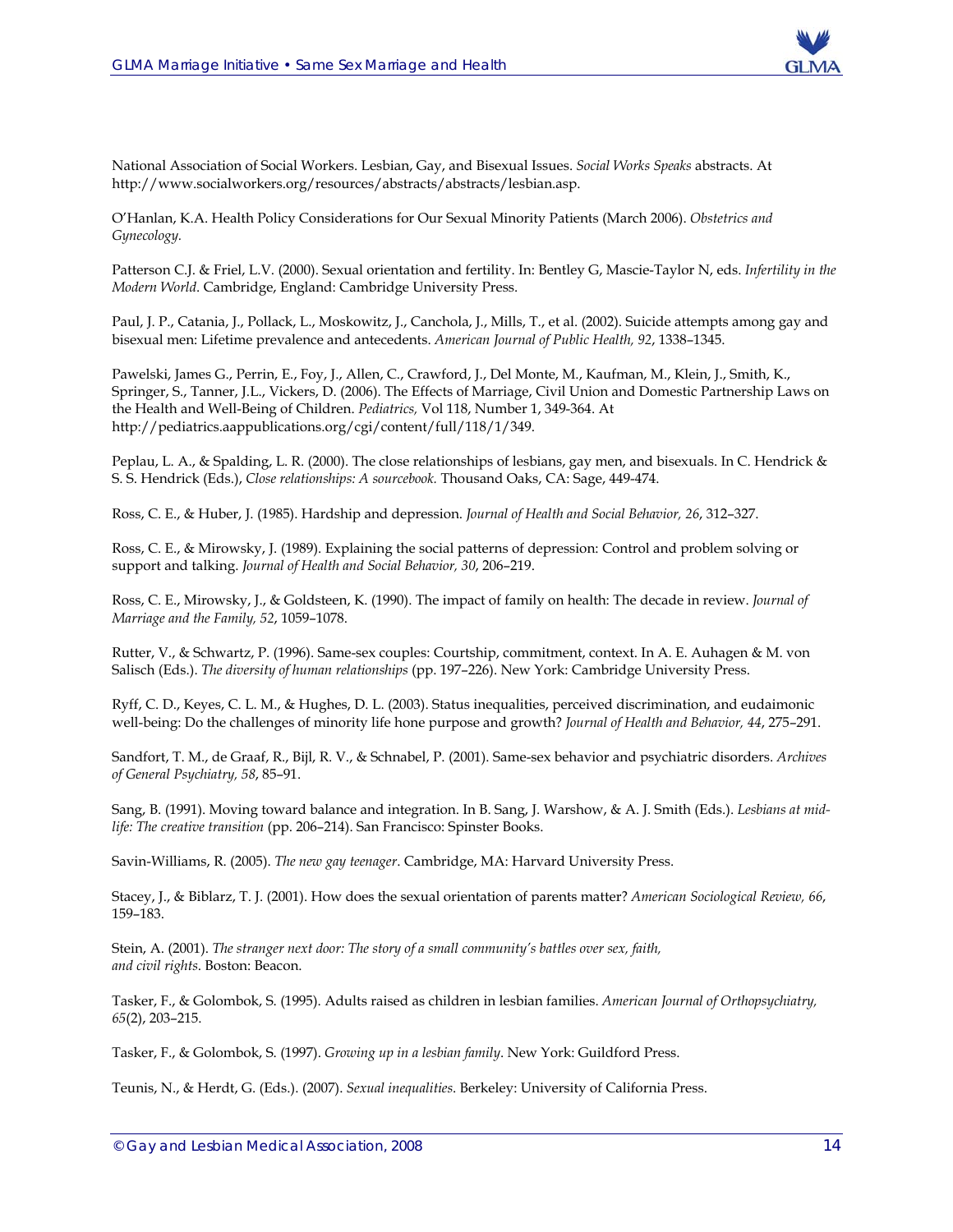

National Association of Social Workers. Lesbian, Gay, and Bisexual Issues. *Social Works Speaks* abstracts. At http://www.socialworkers.org/resources/abstracts/abstracts/lesbian.asp.

O'Hanlan, K.A. Health Policy Considerations for Our Sexual Minority Patients (March 2006). *Obstetrics and Gynecology.*

Patterson C.J. & Friel, L.V. (2000). Sexual orientation and fertility. In: Bentley G, Mascie-Taylor N, eds. *Infertility in the Modern World*. Cambridge, England: Cambridge University Press.

Paul, J. P., Catania, J., Pollack, L., Moskowitz, J., Canchola, J., Mills, T., et al. (2002). Suicide attempts among gay and bisexual men: Lifetime prevalence and antecedents. *American Journal of Public Health, 92*, 1338–1345.

Pawelski, James G., Perrin, E., Foy, J., Allen, C., Crawford, J., Del Monte, M., Kaufman, M., Klein, J., Smith, K., Springer, S., Tanner, J.L., Vickers, D. (2006). The Effects of Marriage, Civil Union and Domestic Partnership Laws on the Health and Well-Being of Children. *Pediatrics,* Vol 118, Number 1, 349-364. At http://pediatrics.aappublications.org/cgi/content/full/118/1/349.

Peplau, L. A., & Spalding, L. R. (2000). The close relationships of lesbians, gay men, and bisexuals. In C. Hendrick & S. S. Hendrick (Eds.), *Close relationships: A sourcebook.* Thousand Oaks, CA: Sage, 449-474.

Ross, C. E., & Huber, J. (1985). Hardship and depression. *Journal of Health and Social Behavior, 26*, 312–327.

Ross, C. E., & Mirowsky, J. (1989). Explaining the social patterns of depression: Control and problem solving or support and talking. *Journal of Health and Social Behavior, 30*, 206–219.

Ross, C. E., Mirowsky, J., & Goldsteen, K. (1990). The impact of family on health: The decade in review. *Journal of Marriage and the Family, 52*, 1059–1078.

Rutter, V., & Schwartz, P. (1996). Same-sex couples: Courtship, commitment, context. In A. E. Auhagen & M. von Salisch (Eds.). *The diversity of human relationships* (pp. 197–226). New York: Cambridge University Press.

Ryff, C. D., Keyes, C. L. M., & Hughes, D. L. (2003). Status inequalities, perceived discrimination, and eudaimonic well-being: Do the challenges of minority life hone purpose and growth? *Journal of Health and Behavior, 44*, 275–291.

Sandfort, T. M., de Graaf, R., Bijl, R. V., & Schnabel, P. (2001). Same-sex behavior and psychiatric disorders. *Archives of General Psychiatry, 58*, 85–91.

Sang, B. (1991). Moving toward balance and integration. In B. Sang, J. Warshow, & A. J. Smith (Eds.). *Lesbians at midlife: The creative transition* (pp. 206–214). San Francisco: Spinster Books.

Savin-Williams, R. (2005). *The new gay teenager*. Cambridge, MA: Harvard University Press.

Stacey, J., & Biblarz, T. J. (2001). How does the sexual orientation of parents matter? *American Sociological Review, 66*, 159–183.

Stein, A. (2001). *The stranger next door: The story of a small community's battles over sex, faith, and civil rights*. Boston: Beacon.

Tasker, F., & Golombok, S. (1995). Adults raised as children in lesbian families. *American Journal of Orthopsychiatry, 65*(2), 203–215.

Tasker, F., & Golombok, S. (1997). *Growing up in a lesbian family*. New York: Guildford Press.

Teunis, N., & Herdt, G. (Eds.). (2007). *Sexual inequalities*. Berkeley: University of California Press.